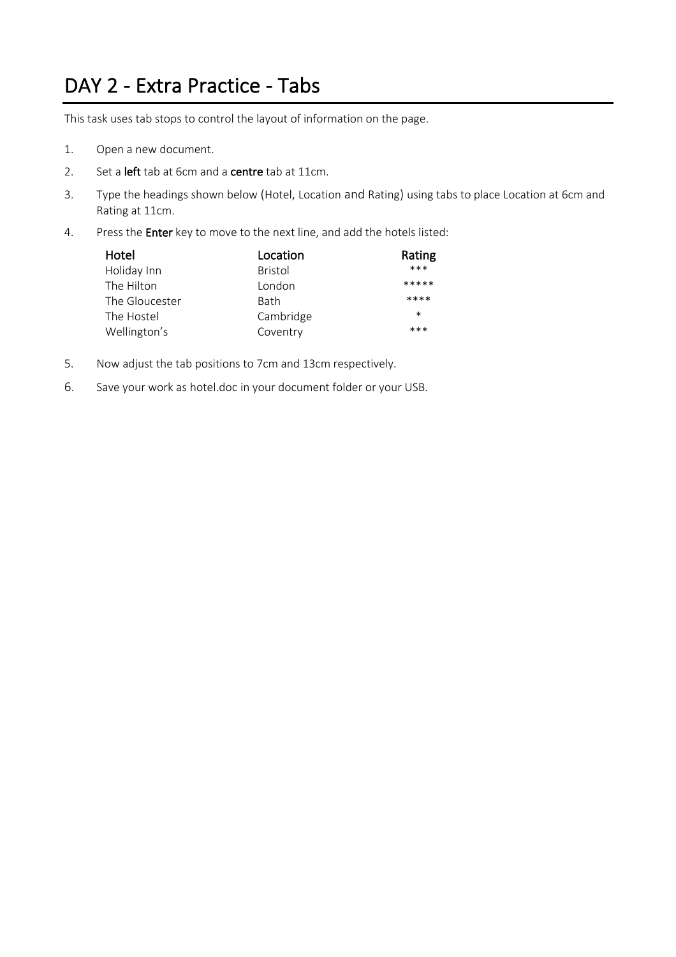#### DAY 2 - Extra Practice - Tabs

This task uses tab stops to control the layout of information on the page.

- 1. Open a new document.
- 2. Set a left tab at 6cm and a centre tab at 11cm.
- 3. Type the headings shown below (Hotel, Location and Rating) using tabs to place Location at 6cm and Rating at 11cm.
- 4. Press the Enter key to move to the next line, and add the hotels listed:

| Hotel          | Location       | Rating |
|----------------|----------------|--------|
| Holiday Inn    | <b>Bristol</b> | $***$  |
| The Hilton     | London         | *****  |
| The Gloucester | <b>Bath</b>    | ****   |
| The Hostel     | Cambridge      | $\ast$ |
| Wellington's   | Coventry       | ***    |

- 5. Now adjust the tab positions to 7cm and 13cm respectively.
- 6. Save your work as hotel.doc in your document folder or your USB.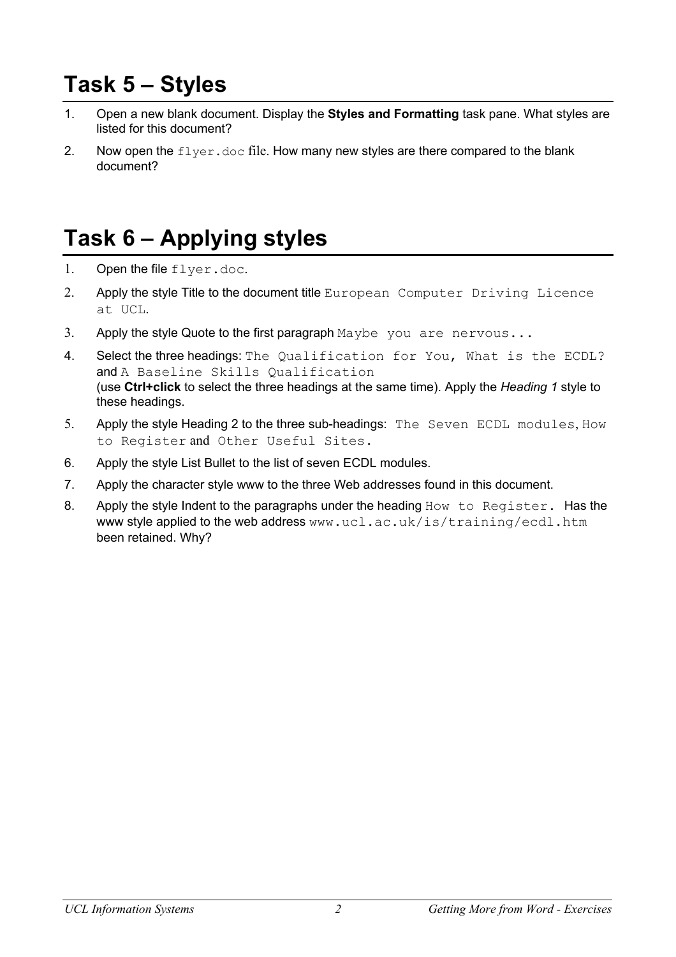# **Task 5 – Styles**

- 1. Open a new blank document. Display the **Styles and Formatting** task pane. What styles are listed for this document?
- 2. Now open the  $flyer.doc$  file. How many new styles are there compared to the blank document?

# **Task 6 – Applying styles**

- 1. Open the file flyer.doc.
- 2. Apply the style Title to the document title European Computer Driving Licence at UCL.
- 3. Apply the style Quote to the first paragraph  $\text{Maybe}$  you are nervous...
- 4. Select the three headings: The Qualification for You, What is the ECDL? and A Baseline Skills Qualification (use **Ctrl+click** to select the three headings at the same time). Apply the *Heading 1* style to these headings.
- 5. Apply the style Heading 2 to the three sub-headings: The Seven ECDL modules, How to Register and Other Useful Sites.
- 6. Apply the style List Bullet to the list of seven ECDL modules.
- 7. Apply the character style www to the three Web addresses found in this document.
- 8. Apply the style Indent to the paragraphs under the heading How to Register. Has the www style applied to the web address www.ucl.ac.uk/is/training/ecdl.htm been retained. Why?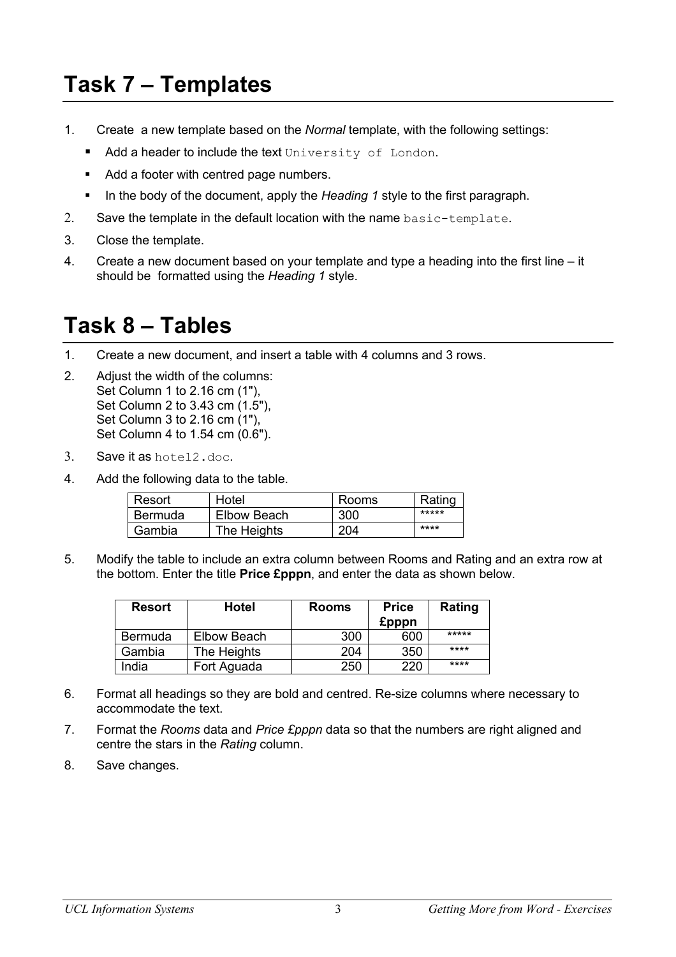# **Task 7 – Templates**

- 1. Create a new template based on the *Normal* template, with the following settings:
	- Add a header to include the text University of London.
	- Add a footer with centred page numbers.
	- § In the body of the document, apply the *Heading 1* style to the first paragraph.
- 2. Save the template in the default location with the name basic-template.
- 3. Close the template.
- 4. Create a new document based on your template and type a heading into the first line it should be formatted using the *Heading 1* style.

### **Task 8 – Tables**

- 1. Create a new document, and insert a table with 4 columns and 3 rows.
- 2. Adjust the width of the columns: Set Column 1 to 2.16 cm (1"), Set Column 2 to 3.43 cm (1.5"), Set Column 3 to 2.16 cm (1"), Set Column 4 to 1.54 cm (0.6").
- 3. Save it as hotel2.doc.
- 4. Add the following data to the table.

| Resort  | Hotel       | Rooms | Rating |
|---------|-------------|-------|--------|
| Bermuda | Elbow Beach | 300   | *****  |
| Gambia  | The Heights | 204   | ****   |

5. Modify the table to include an extra column between Rooms and Rating and an extra row at the bottom. Enter the title **Price £pppn**, and enter the data as shown below.

| <b>Resort</b>  | <b>Hotel</b> | <b>Rooms</b> | <b>Price</b> | Rating |
|----------------|--------------|--------------|--------------|--------|
|                |              |              | <b>£pppn</b> |        |
| <b>Bermuda</b> | Elbow Beach  | 300          | 600          | *****  |
| Gambia         | The Heights  | 204          | 350          | ****   |
| India          | Fort Aguada  | 250          | 220          | ****   |

- 6. Format all headings so they are bold and centred. Re-size columns where necessary to accommodate the text.
- 7. Format the *Rooms* data and *Price £pppn* data so that the numbers are right aligned and centre the stars in the *Rating* column.
- 8. Save changes.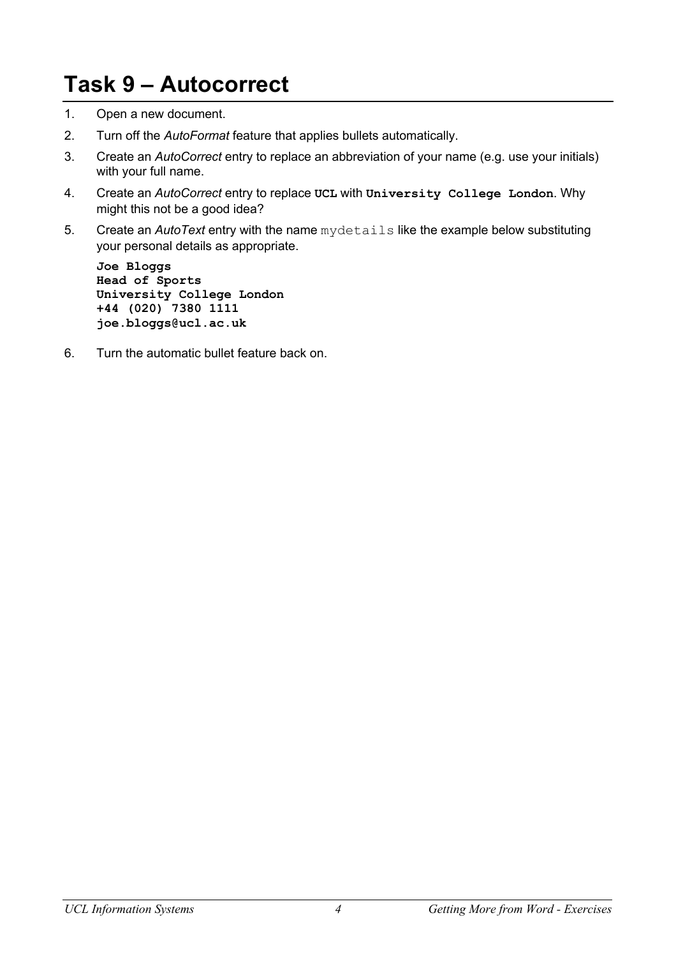# **Task 9 – Autocorrect**

- 1. Open a new document.
- 2. Turn off the *AutoFormat* feature that applies bullets automatically.
- 3. Create an *AutoCorrect* entry to replace an abbreviation of your name (e.g. use your initials) with your full name.
- 4. Create an *AutoCorrect* entry to replace **UCL** with **University College London**. Why might this not be a good idea?
- 5. Create an *AutoText* entry with the name mydetails like the example below substituting your personal details as appropriate.

**Joe Bloggs Head of Sports University College London +44 (020) 7380 1111 joe.bloggs@ucl.ac.uk**

6. Turn the automatic bullet feature back on.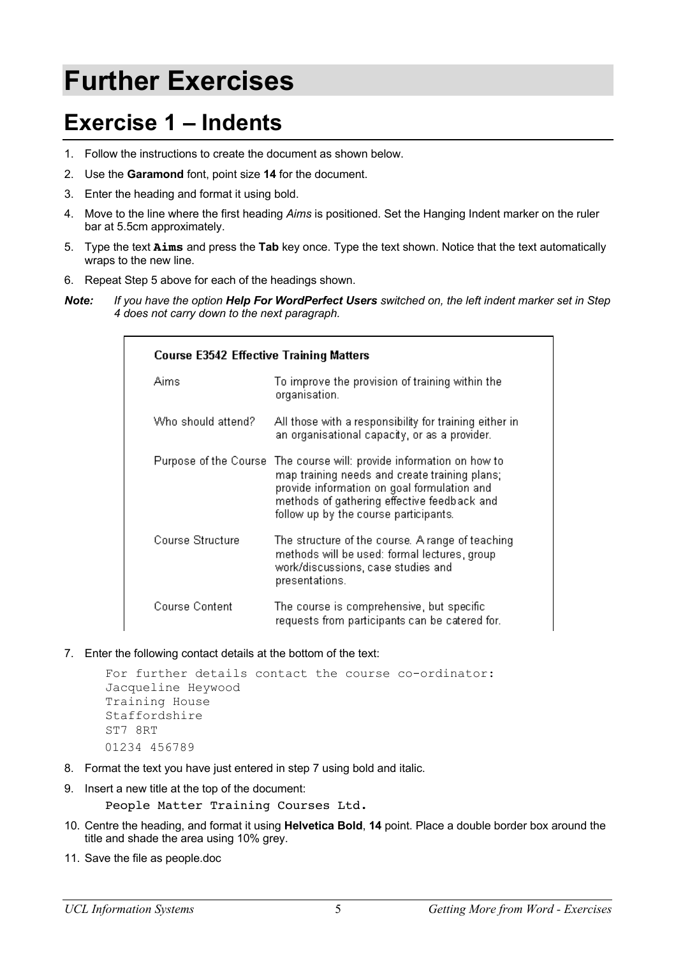# **Further Exercises**

### **Exercise 1 – Indents**

- 1. Follow the instructions to create the document as shown below.
- 2. Use the **Garamond** font, point size **14** for the document.
- 3. Enter the heading and format it using bold.
- 4. Move to the line where the first heading *Aims* is positioned. Set the Hanging Indent marker on the ruler bar at 5.5cm approximately.
- 5. Type the text **Aims** and press the **Tab** key once. Type the text shown. Notice that the text automatically wraps to the new line.
- 6. Repeat Step 5 above for each of the headings shown.
- *Note: If you have the option Help For WordPerfect Users switched on, the left indent marker set in Step 4 does not carry down to the next paragraph.*

| <b>Course E3542 Effective Training Matters</b> |                                                                                                                                                                                                                                        |  |  |
|------------------------------------------------|----------------------------------------------------------------------------------------------------------------------------------------------------------------------------------------------------------------------------------------|--|--|
| Aims                                           | To improve the provision of training within the<br>organisation.                                                                                                                                                                       |  |  |
| Who should attend?                             | All those with a responsibility for training either in.<br>an organisational capacity, or as a provider.                                                                                                                               |  |  |
| Purpose of the Course                          | The course will: provide information on how to<br>map training needs and create training plans;<br>provide information on goal formulation and<br>methods of gathering effective feedback and<br>follow up by the course participants. |  |  |
| Course Structure                               | The structure of the course. A range of teaching<br>methods will be used: formal lectures, group<br>work/discussions, case studies and<br>presentations.                                                                               |  |  |
| Course Content                                 | The course is comprehensive, but specific<br>requests from participants can be catered for.                                                                                                                                            |  |  |

7. Enter the following contact details at the bottom of the text:

```
For further details contact the course co-ordinator:
Jacqueline Heywood 
Training House
Staffordshire
ST7 8RT
01234 456789
```
- 8. Format the text you have just entered in step 7 using bold and italic.
- 9. Insert a new title at the top of the document:
	- People Matter Training Courses Ltd.
- 10. Centre the heading, and format it using **Helvetica Bold**, **14** point. Place a double border box around the title and shade the area using 10% grey.
- 11. Save the file as people.doc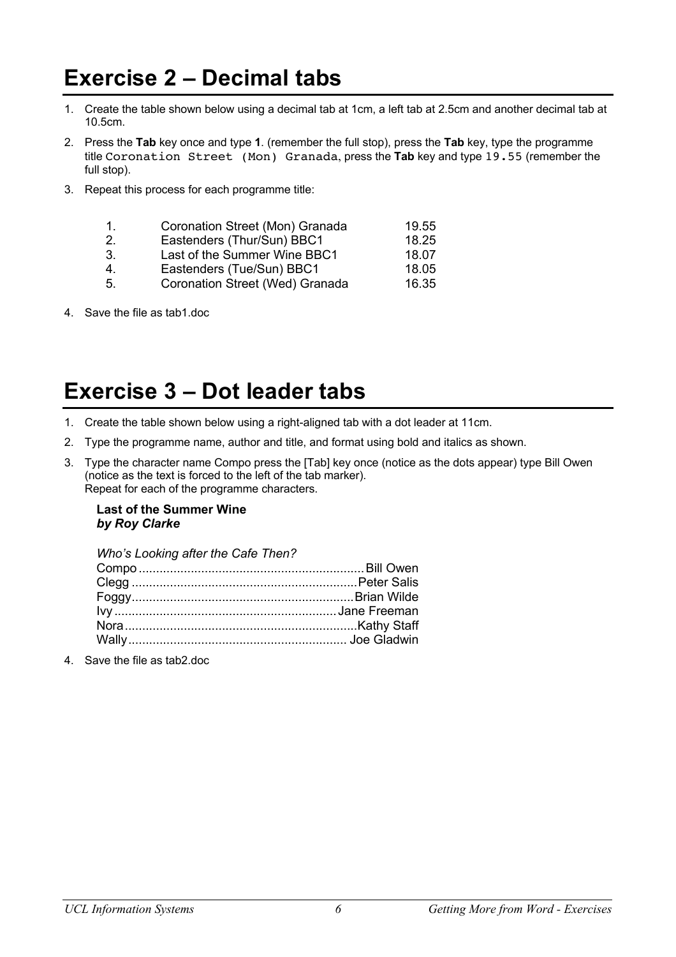### **Exercise 2 – Decimal tabs**

- 1. Create the table shown below using a decimal tab at 1cm, a left tab at 2.5cm and another decimal tab at 10.5cm.
- 2. Press the **Tab** key once and type **1**. (remember the full stop), press the **Tab** key, type the programme title Coronation Street (Mon) Granada, press the **Tab** key and type 19.55 (remember the full stop).
- 3. Repeat this process for each programme title:

|    | Coronation Street (Mon) Granada | 19.55 |
|----|---------------------------------|-------|
| 2. | Eastenders (Thur/Sun) BBC1      | 18.25 |
| 3. | Last of the Summer Wine BBC1    | 18.07 |

- 4. Eastenders (Tue/Sun) BBC1 18.05
- 5. Coronation Street (Wed) Granada 16.35
- 4. Save the file as tab1.doc

### **Exercise 3 – Dot leader tabs**

- 1. Create the table shown below using a right-aligned tab with a dot leader at 11cm.
- 2. Type the programme name, author and title, and format using bold and italics as shown.
- 3. Type the character name Compo press the [Tab] key once (notice as the dots appear) type Bill Owen (notice as the text is forced to the left of the tab marker). Repeat for each of the programme characters.

#### **Last of the Summer Wine** *by Roy Clarke*

| Who's Looking after the Cafe Then? |  |
|------------------------------------|--|
|                                    |  |
|                                    |  |
|                                    |  |
|                                    |  |
|                                    |  |
|                                    |  |
|                                    |  |

4. Save the file as tab2.doc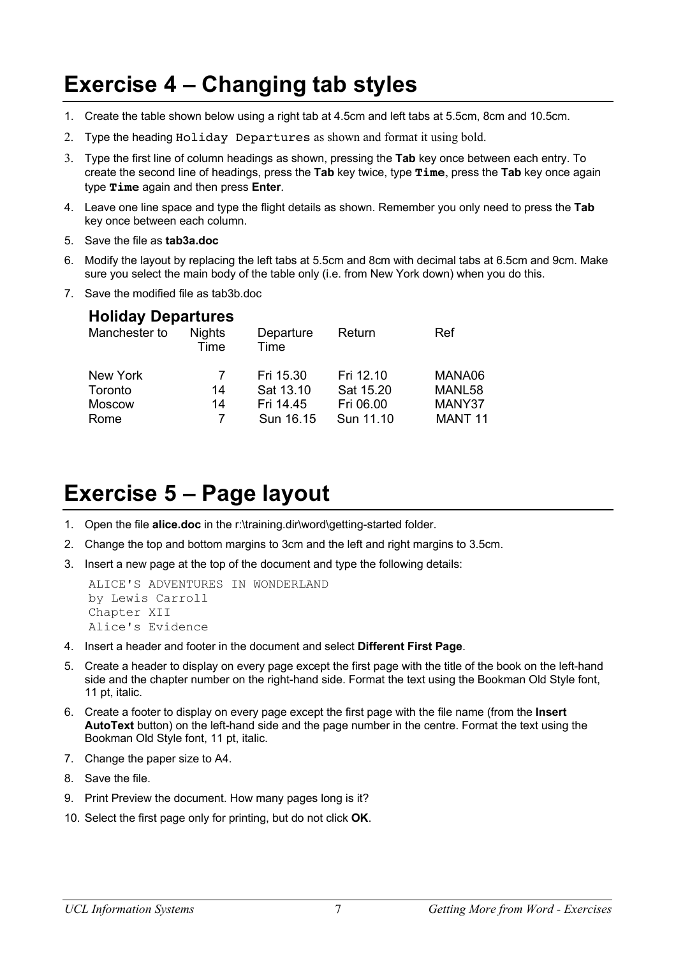# **Exercise 4 – Changing tab styles**

- 1. Create the table shown below using a right tab at 4.5cm and left tabs at 5.5cm, 8cm and 10.5cm.
- 2. Type the heading Holiday Departures as shown and format it using bold.
- 3. Type the first line of column headings as shown, pressing the **Tab** key once between each entry. To create the second line of headings, press the **Tab** key twice, type **Time**, press the **Tab** key once again type **Time** again and then press **Enter**.
- 4. Leave one line space and type the flight details as shown. Remember you only need to press the **Tab** key once between each column.
- 5. Save the file as **tab3a.doc**
- 6. Modify the layout by replacing the left tabs at 5.5cm and 8cm with decimal tabs at 6.5cm and 9cm. Make sure you select the main body of the table only (i.e. from New York down) when you do this.
- 7. Save the modified file as tab3b.doc

#### **Holiday Departures**

| Manchester to | <b>Nights</b><br>Time | Departure<br>Time | Return    | Ref                |
|---------------|-----------------------|-------------------|-----------|--------------------|
| New York      | 7                     | Fri 15.30         | Fri 12.10 | MANA06             |
| Toronto       | 14                    | Sat 13.10         | Sat 15.20 | MANL58             |
| <b>Moscow</b> | 14                    | Fri 14.45         | Fri 06.00 | MANY37             |
| Rome          |                       | Sun 16.15         | Sun 11.10 | MANT <sub>11</sub> |

## **Exercise 5 – Page layout**

- 1. Open the file **alice.doc** in the r:\training.dir\word\getting-started folder.
- 2. Change the top and bottom margins to 3cm and the left and right margins to 3.5cm.
- 3. Insert a new page at the top of the document and type the following details:

```
ALICE'S ADVENTURES IN WONDERLAND
by Lewis Carroll
Chapter XII
Alice's Evidence
```
- 4. Insert a header and footer in the document and select **Different First Page**.
- 5. Create a header to display on every page except the first page with the title of the book on the left-hand side and the chapter number on the right-hand side. Format the text using the Bookman Old Style font, 11 pt, italic.
- 6. Create a footer to display on every page except the first page with the file name (from the **Insert AutoText** button) on the left-hand side and the page number in the centre. Format the text using the Bookman Old Style font, 11 pt, italic.
- 7. Change the paper size to A4.
- 8. Save the file.
- 9. Print Preview the document. How many pages long is it?
- 10. Select the first page only for printing, but do not click **OK**.